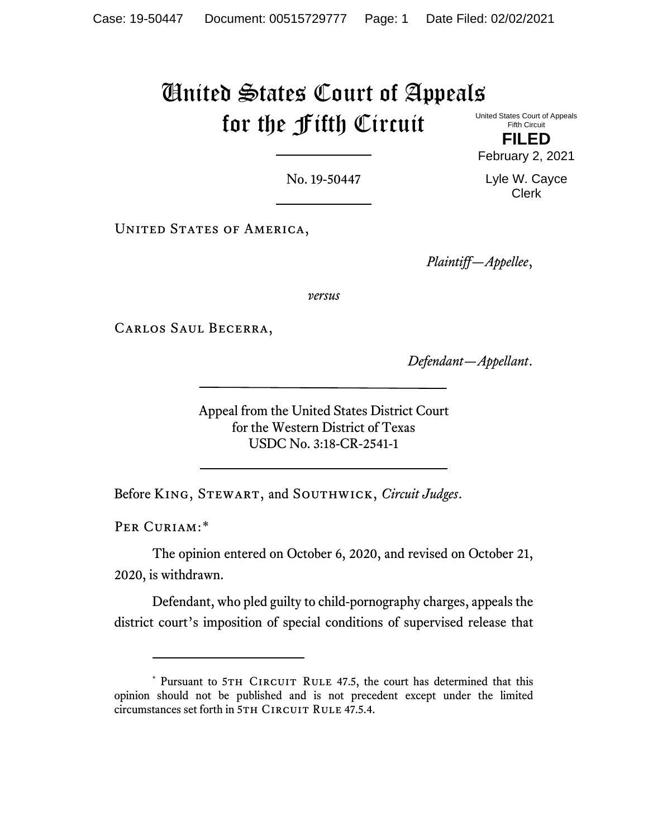# United States Court of Appeals for the Fifth Circuit

United States Court of Appeals Fifth Circuit **FILED**

February 2, 2021

Lyle W. Cayce Clerk

No. 19-50447

UNITED STATES OF AMERICA,

*Plaintiff—Appellee*,

*versus*

Carlos Saul Becerra,

*Defendant—Appellant*.

Appeal from the United States District Court for the Western District of Texas USDC No. 3:18-CR-2541-1

Before King, Stewart, and Southwick, *Circuit Judges*.

Per Curiam:[\\*](#page-0-0)

The opinion entered on October 6, 2020, and revised on October 21, 2020, is withdrawn.

Defendant, who pled guilty to child-pornography charges, appeals the district court's imposition of special conditions of supervised release that

<span id="page-0-0"></span><sup>\*</sup> Pursuant to 5TH CIRCUIT RULE 47.5, the court has determined that this opinion should not be published and is not precedent except under the limited circumstances set forth in 5TH CIRCUIT RULE 47.5.4.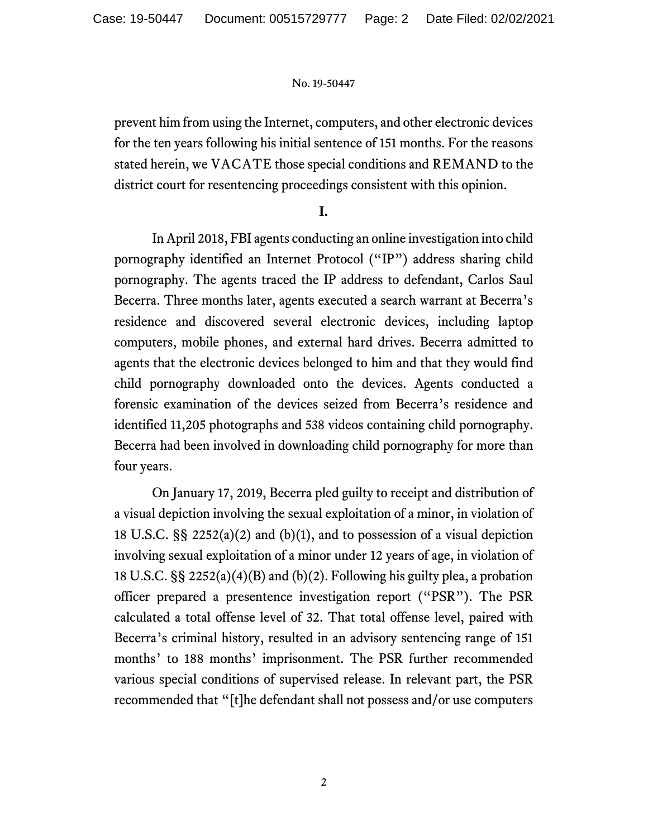prevent him from using the Internet, computers, and other electronic devices for the ten years following his initial sentence of 151 months. For the reasons stated herein, we VACATE those special conditions and REMAND to the district court for resentencing proceedings consistent with this opinion.

# **I.**

In April 2018, FBI agents conducting an online investigation into child pornography identified an Internet Protocol ("IP") address sharing child pornography. The agents traced the IP address to defendant, Carlos Saul Becerra. Three months later, agents executed a search warrant at Becerra's residence and discovered several electronic devices, including laptop computers, mobile phones, and external hard drives. Becerra admitted to agents that the electronic devices belonged to him and that they would find child pornography downloaded onto the devices. Agents conducted a forensic examination of the devices seized from Becerra's residence and identified 11,205 photographs and 538 videos containing child pornography. Becerra had been involved in downloading child pornography for more than four years.

On January 17, 2019, Becerra pled guilty to receipt and distribution of a visual depiction involving the sexual exploitation of a minor, in violation of 18 U.S.C. §§ 2252(a)(2) and (b)(1), and to possession of a visual depiction involving sexual exploitation of a minor under 12 years of age, in violation of 18 U.S.C. §§ 2252(a)(4)(B) and (b)(2). Following his guilty plea, a probation officer prepared a presentence investigation report ("PSR"). The PSR calculated a total offense level of 32. That total offense level, paired with Becerra's criminal history, resulted in an advisory sentencing range of 151 months' to 188 months' imprisonment. The PSR further recommended various special conditions of supervised release. In relevant part, the PSR recommended that "[t]he defendant shall not possess and/or use computers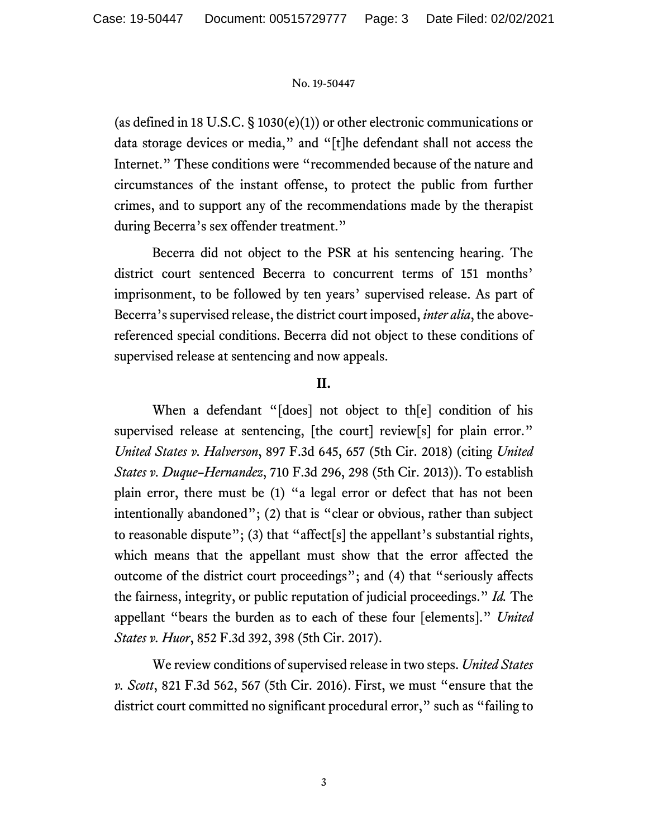(as defined in 18 U.S.C.  $\S$  1030(e)(1)) or other electronic communications or data storage devices or media," and "[t]he defendant shall not access the Internet." These conditions were "recommended because of the nature and circumstances of the instant offense, to protect the public from further crimes, and to support any of the recommendations made by the therapist during Becerra's sex offender treatment."

Becerra did not object to the PSR at his sentencing hearing. The district court sentenced Becerra to concurrent terms of 151 months' imprisonment, to be followed by ten years' supervised release. As part of Becerra's supervised release, the district court imposed, *inter alia*, the abovereferenced special conditions. Becerra did not object to these conditions of supervised release at sentencing and now appeals.

# **II.**

When a defendant "[does] not object to th[e] condition of his supervised release at sentencing, [the court] review[s] for plain error." *United States v. Halverson*, 897 F.3d 645, 657 (5th Cir. 2018) (citing *United States v. Duque–Hernandez*, 710 F.3d 296, 298 (5th Cir. 2013)). To establish plain error, there must be (1) "a legal error or defect that has not been intentionally abandoned"; (2) that is "clear or obvious, rather than subject to reasonable dispute"; (3) that "affect[s] the appellant's substantial rights, which means that the appellant must show that the error affected the outcome of the district court proceedings"; and (4) that "seriously affects the fairness, integrity, or public reputation of judicial proceedings." *Id.* The appellant "bears the burden as to each of these four [elements]." *United States v. Huor*, 852 F.3d 392, 398 (5th Cir. 2017).

We review conditions of supervised release in two steps. *United States v. Scott*, 821 F.3d 562, 567 (5th Cir. 2016). First, we must "ensure that the district court committed no significant procedural error," such as "failing to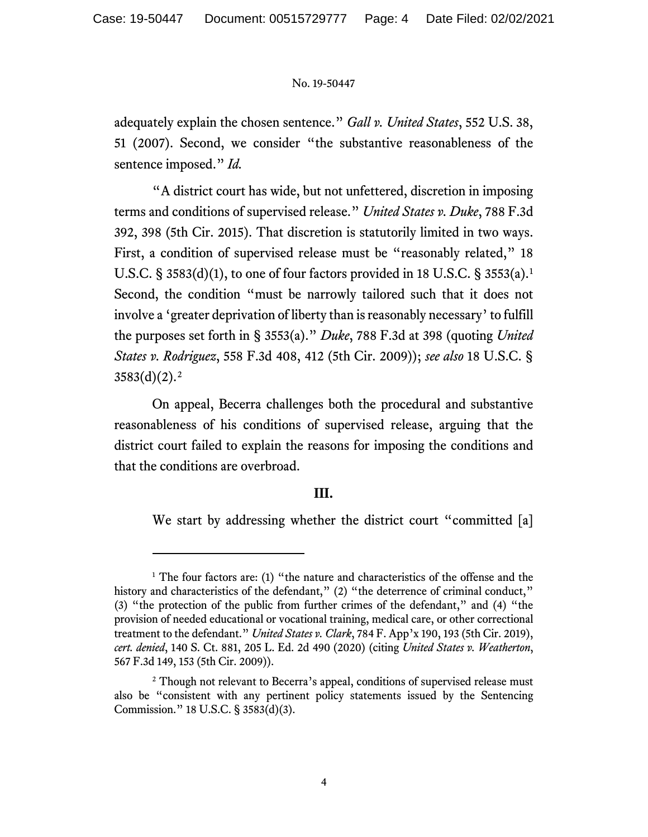adequately explain the chosen sentence." *Gall v. United States*, 552 U.S. 38, 51 (2007). Second, we consider "the substantive reasonableness of the sentence imposed." *Id.*

"A district court has wide, but not unfettered, discretion in imposing terms and conditions of supervised release." *United States v. Duke*, 788 F.3d 392, 398 (5th Cir. 2015). That discretion is statutorily limited in two ways. First, a condition of supervised release must be "reasonably related," 18 U.S.C. § 3583(d)(1), to one of four factors provided in 18 U.S.C. § 3553(a). [1](#page-3-0) Second, the condition "must be narrowly tailored such that it does not involve a 'greater deprivation of liberty than is reasonably necessary'to fulfill the purposes set forth in § 3553(a)." *Duke*, 788 F.3d at 398 (quoting *United States v. Rodriguez*, 558 F.3d 408, 412 (5th Cir. 2009)); *see also* 18 U.S.C. §  $3583(d)(2).<sup>2</sup>$  $3583(d)(2).<sup>2</sup>$  $3583(d)(2).<sup>2</sup>$ 

On appeal, Becerra challenges both the procedural and substantive reasonableness of his conditions of supervised release, arguing that the district court failed to explain the reasons for imposing the conditions and that the conditions are overbroad.

# **III.**

We start by addressing whether the district court "committed [a]

<span id="page-3-0"></span> $1$  The four factors are: (1) "the nature and characteristics of the offense and the history and characteristics of the defendant," (2) "the deterrence of criminal conduct," (3) "the protection of the public from further crimes of the defendant," and (4) "the provision of needed educational or vocational training, medical care, or other correctional treatment to the defendant." *United States v. Clark*, 784 F. App'x 190, 193 (5th Cir. 2019), *cert. denied*, 140 S. Ct. 881, 205 L. Ed. 2d 490 (2020) (citing *United States v. Weatherton*, 567 F.3d 149, 153 (5th Cir. 2009)).

<span id="page-3-1"></span><sup>&</sup>lt;sup>2</sup> Though not relevant to Becerra's appeal, conditions of supervised release must also be "consistent with any pertinent policy statements issued by the Sentencing Commission." 18 U.S.C. § 3583(d)(3).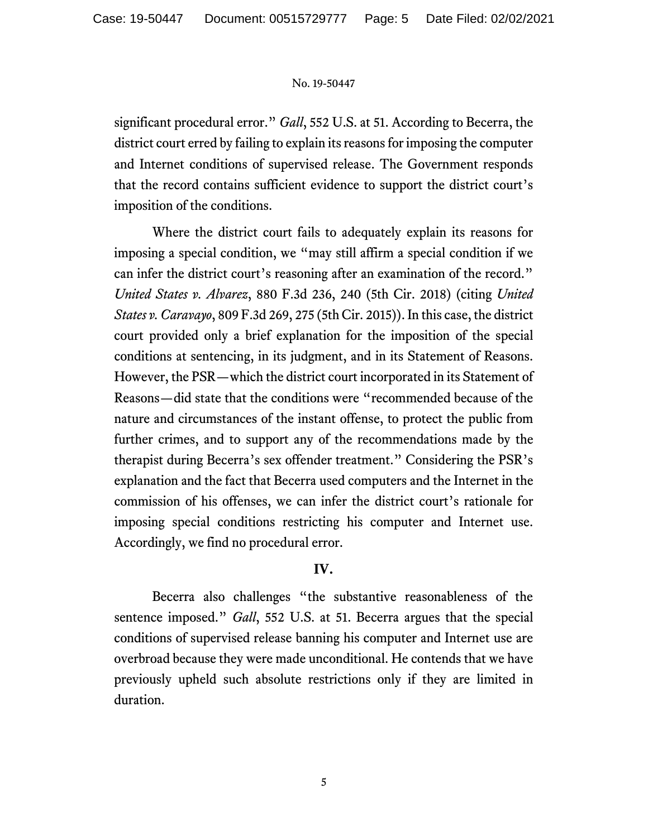significant procedural error." *Gall*, 552 U.S. at 51. According to Becerra, the district court erred by failing to explain its reasons for imposing the computer and Internet conditions of supervised release. The Government responds that the record contains sufficient evidence to support the district court's imposition of the conditions.

Where the district court fails to adequately explain its reasons for imposing a special condition, we "may still affirm a special condition if we can infer the district court's reasoning after an examination of the record." *United States v. Alvarez*, 880 F.3d 236, 240 (5th Cir. 2018) (citing *United States v. Caravayo*, 809 F.3d 269, 275 (5th Cir. 2015)). In this case, the district court provided only a brief explanation for the imposition of the special conditions at sentencing, in its judgment, and in its Statement of Reasons. However, the PSR—which the district court incorporated in its Statement of Reasons—did state that the conditions were "recommended because of the nature and circumstances of the instant offense, to protect the public from further crimes, and to support any of the recommendations made by the therapist during Becerra's sex offender treatment." Considering the PSR's explanation and the fact that Becerra used computers and the Internet in the commission of his offenses, we can infer the district court's rationale for imposing special conditions restricting his computer and Internet use. Accordingly, we find no procedural error.

# **IV.**

Becerra also challenges "the substantive reasonableness of the sentence imposed." *Gall*, 552 U.S. at 51. Becerra argues that the special conditions of supervised release banning his computer and Internet use are overbroad because they were made unconditional. He contends that we have previously upheld such absolute restrictions only if they are limited in duration.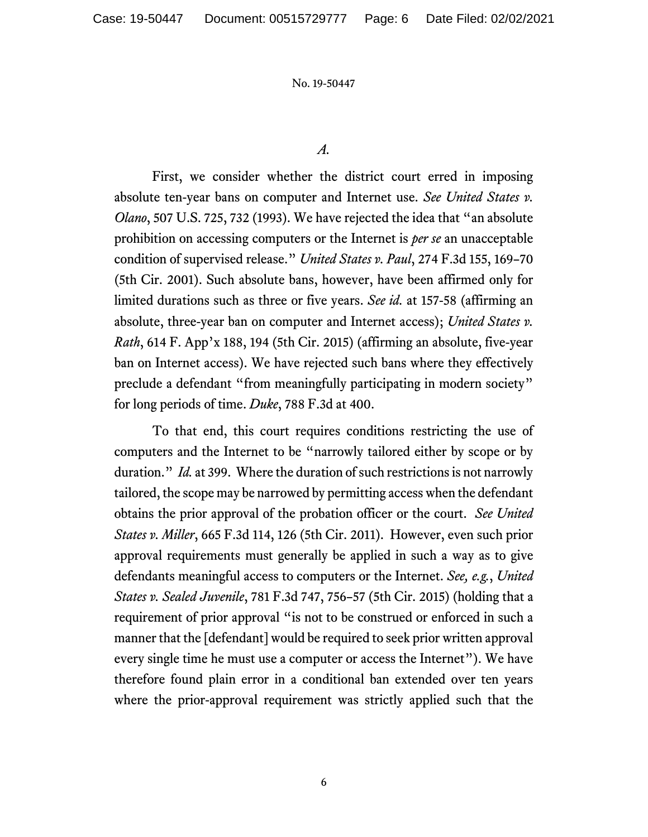## *A.*

First, we consider whether the district court erred in imposing absolute ten-year bans on computer and Internet use. *See United States v. Olano*, 507 U.S. 725, 732 (1993). We have rejected the idea that "an absolute prohibition on accessing computers or the Internet is *per se* an unacceptable condition of supervised release." *United States v. Paul*, 274 F.3d 155, 169–70 (5th Cir. 2001). Such absolute bans, however, have been affirmed only for limited durations such as three or five years. *See id.* at 157-58 (affirming an absolute, three-year ban on computer and Internet access); *United States v. Rath*, 614 F. App'x 188, 194 (5th Cir. 2015) (affirming an absolute, five-year ban on Internet access). We have rejected such bans where they effectively preclude a defendant "from meaningfully participating in modern society" for long periods of time. *Duke*, 788 F.3d at 400.

To that end, this court requires conditions restricting the use of computers and the Internet to be "narrowly tailored either by scope or by duration." *Id.* at 399. Where the duration of such restrictions is not narrowly tailored, the scope may be narrowed by permitting access when the defendant obtains the prior approval of the probation officer or the court. *See United States v. Miller*, 665 F.3d 114, 126 (5th Cir. 2011). However, even such prior approval requirements must generally be applied in such a way as to give defendants meaningful access to computers or the Internet. *See, e.g.*, *United States v. Sealed Juvenile*, 781 F.3d 747, 756–57 (5th Cir. 2015) (holding that a requirement of prior approval "is not to be construed or enforced in such a manner that the [defendant] would be required to seek prior written approval every single time he must use a computer or access the Internet"). We have therefore found plain error in a conditional ban extended over ten years where the prior-approval requirement was strictly applied such that the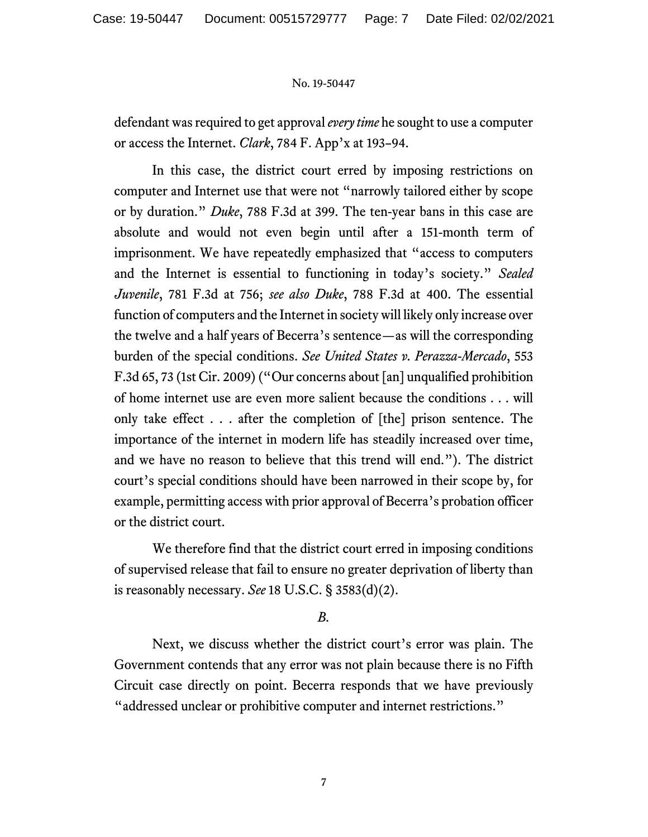defendant was required to get approval *every time* he sought to use a computer or access the Internet. *Clark*, 784 F. App'x at 193–94.

In this case, the district court erred by imposing restrictions on computer and Internet use that were not "narrowly tailored either by scope or by duration." *Duke*, 788 F.3d at 399. The ten-year bans in this case are absolute and would not even begin until after a 151-month term of imprisonment. We have repeatedly emphasized that "access to computers and the Internet is essential to functioning in today's society." *Sealed Juvenile*, 781 F.3d at 756; *see also Duke*, 788 F.3d at 400. The essential function of computers and the Internet in society will likely only increase over the twelve and a half years of Becerra's sentence—as will the corresponding burden of the special conditions. *See United States v. Perazza-Mercado*, 553 F.3d 65, 73 (1st Cir. 2009) ("Our concerns about [an] unqualified prohibition of home internet use are even more salient because the conditions . . . will only take effect . . . after the completion of [the] prison sentence. The importance of the internet in modern life has steadily increased over time, and we have no reason to believe that this trend will end."). The district court's special conditions should have been narrowed in their scope by, for example, permitting access with prior approval of Becerra's probation officer or the district court.

We therefore find that the district court erred in imposing conditions of supervised release that fail to ensure no greater deprivation of liberty than is reasonably necessary. *See* 18 U.S.C. § 3583(d)(2).

# *B.*

Next, we discuss whether the district court's error was plain. The Government contends that any error was not plain because there is no Fifth Circuit case directly on point. Becerra responds that we have previously "addressed unclear or prohibitive computer and internet restrictions."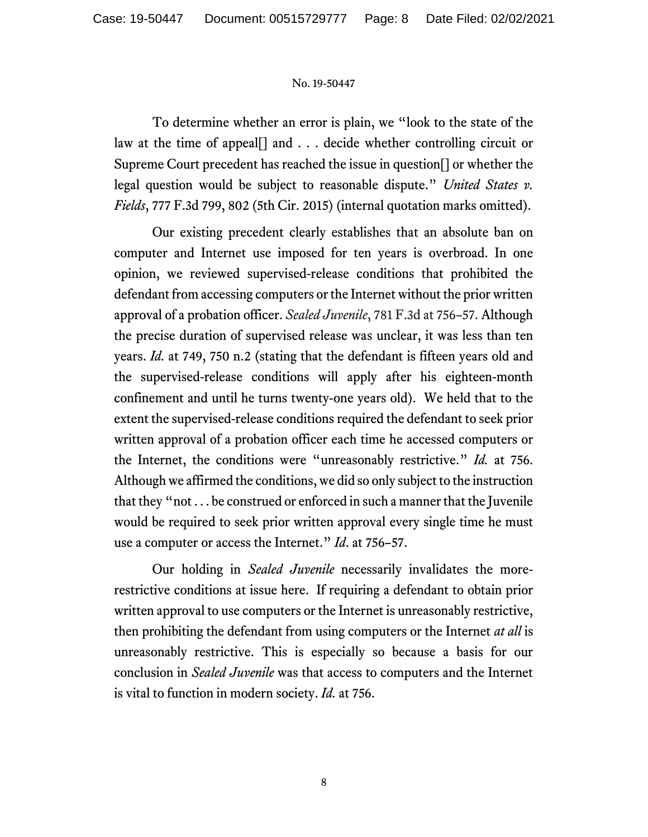To determine whether an error is plain, we "look to the state of the law at the time of appeal[] and . . . decide whether controlling circuit or Supreme Court precedent has reached the issue in question[] or whether the legal question would be subject to reasonable dispute." *United States v. Fields*, 777 F.3d 799, 802 (5th Cir. 2015) (internal quotation marks omitted).

Our existing precedent clearly establishes that an absolute ban on computer and Internet use imposed for ten years is overbroad. In one opinion, we reviewed supervised-release conditions that prohibited the defendant from accessing computers or the Internet without the prior written approval of a probation officer. *Sealed Juvenile*, 781 F.3d at 756–57. Although the precise duration of supervised release was unclear, it was less than ten years. *Id.* at 749, 750 n.2 (stating that the defendant is fifteen years old and the supervised-release conditions will apply after his eighteen-month confinement and until he turns twenty-one years old). We held that to the extent the supervised-release conditions required the defendant to seek prior written approval of a probation officer each time he accessed computers or the Internet, the conditions were "unreasonably restrictive." *Id.* at 756. Although we affirmed the conditions, we did so only subject to the instruction that they "not . . . be construed or enforced in such a manner that the Juvenile would be required to seek prior written approval every single time he must use a computer or access the Internet." *Id*. at 756–57.

Our holding in *Sealed Juvenile* necessarily invalidates the morerestrictive conditions at issue here. If requiring a defendant to obtain prior written approval to use computers or the Internet is unreasonably restrictive, then prohibiting the defendant from using computers or the Internet *at all* is unreasonably restrictive. This is especially so because a basis for our conclusion in *Sealed Juvenile* was that access to computers and the Internet is vital to function in modern society. *Id.* at 756.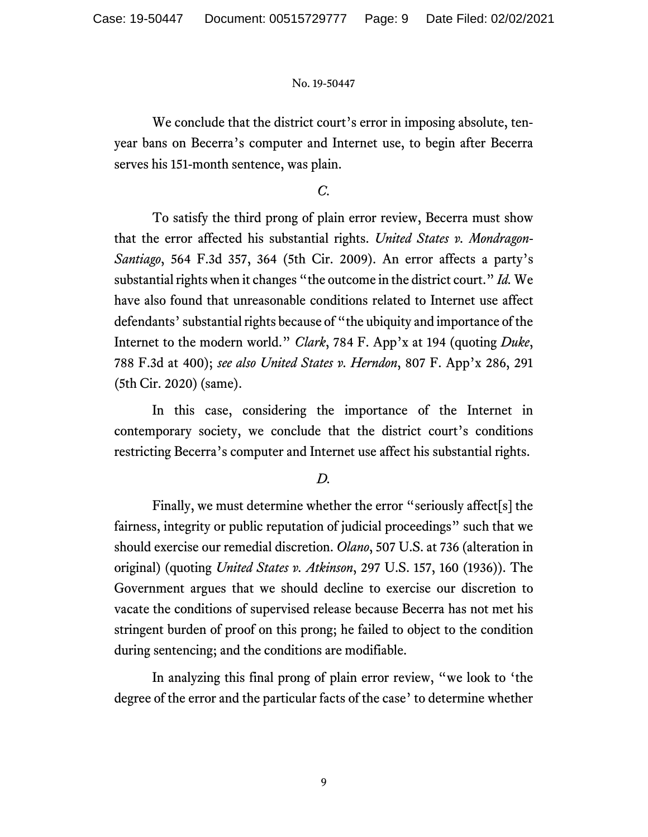We conclude that the district court's error in imposing absolute, tenyear bans on Becerra's computer and Internet use, to begin after Becerra serves his 151-month sentence, was plain.

*C.*

To satisfy the third prong of plain error review, Becerra must show that the error affected his substantial rights. *United States v. Mondragon-Santiago*, 564 F.3d 357, 364 (5th Cir. 2009). An error affects a party's substantial rights when it changes "the outcome in the district court." *Id.* We have also found that unreasonable conditions related to Internet use affect defendants' substantial rights because of "the ubiquity and importance of the Internet to the modern world." *Clark*, 784 F. App'x at 194 (quoting *Duke*, 788 F.3d at 400); *see also United States v. Herndon*, 807 F. App'x 286, 291 (5th Cir. 2020) (same).

In this case, considering the importance of the Internet in contemporary society, we conclude that the district court's conditions restricting Becerra's computer and Internet use affect his substantial rights.

# *D.*

Finally, we must determine whether the error "seriously affect[s] the fairness, integrity or public reputation of judicial proceedings" such that we should exercise our remedial discretion. *Olano*, 507 U.S. at 736 (alteration in original) (quoting *United States v. Atkinson*, 297 U.S. 157, 160 (1936)). The Government argues that we should decline to exercise our discretion to vacate the conditions of supervised release because Becerra has not met his stringent burden of proof on this prong; he failed to object to the condition during sentencing; and the conditions are modifiable.

In analyzing this final prong of plain error review, "we look to 'the degree of the error and the particular facts of the case' to determine whether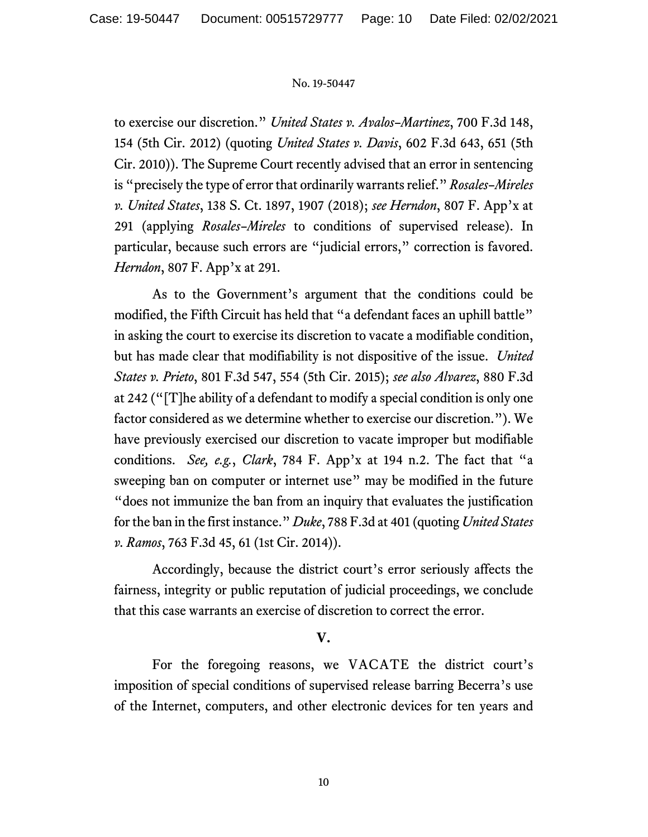to exercise our discretion." *United States v. Avalos–Martinez*, 700 F.3d 148, 154 (5th Cir. 2012) (quoting *United States v. Davis*, 602 F.3d 643, 651 (5th Cir. 2010)). The Supreme Court recently advised that an error in sentencing is "precisely the type of error that ordinarily warrants relief." *Rosales–Mireles v. United States*, 138 S. Ct. 1897, 1907 (2018); *see Herndon*, 807 F. App'x at 291 (applying *Rosales–Mireles* to conditions of supervised release). In particular, because such errors are "judicial errors," correction is favored. *Herndon*, 807 F. App'x at 291.

As to the Government's argument that the conditions could be modified, the Fifth Circuit has held that "a defendant faces an uphill battle" in asking the court to exercise its discretion to vacate a modifiable condition, but has made clear that modifiability is not dispositive of the issue. *United States v. Prieto*, 801 F.3d 547, 554 (5th Cir. 2015); *see also Alvarez*, 880 F.3d at 242 ("[T]he ability of a defendant to modify a special condition is only one factor considered as we determine whether to exercise our discretion."). We have previously exercised our discretion to vacate improper but modifiable conditions. *See, e.g.*, *Clark*, 784 F. App'x at 194 n.2. The fact that "a sweeping ban on computer or internet use" may be modified in the future "does not immunize the ban from an inquiry that evaluates the justification for the ban in the first instance." *Duke*, 788 F.3d at 401 (quoting *United States v. Ramos*, 763 F.3d 45, 61 (1st Cir. 2014)).

Accordingly, because the district court's error seriously affects the fairness, integrity or public reputation of judicial proceedings, we conclude that this case warrants an exercise of discretion to correct the error.

# **V.**

For the foregoing reasons, we VACATE the district court's imposition of special conditions of supervised release barring Becerra's use of the Internet, computers, and other electronic devices for ten years and